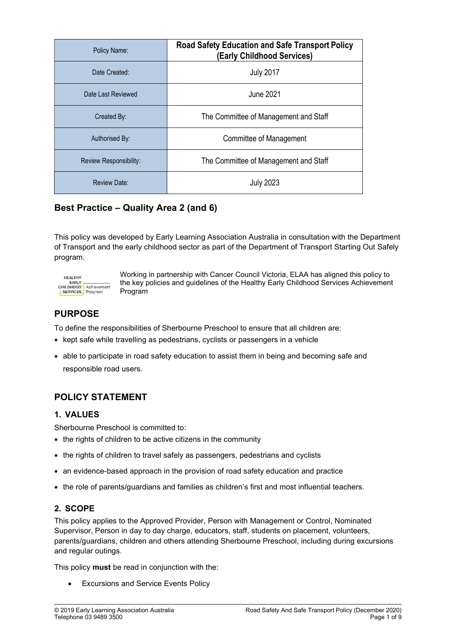| Policy Name:           | <b>Road Safety Education and Safe Transport Policy</b><br>(Early Childhood Services) |
|------------------------|--------------------------------------------------------------------------------------|
| Date Created:          | <b>July 2017</b>                                                                     |
| Date Last Reviewed     | June 2021                                                                            |
| Created By:            | The Committee of Management and Staff                                                |
| Authorised By:         | Committee of Management                                                              |
| Review Responsibility: | The Committee of Management and Staff                                                |
| <b>Review Date:</b>    | <b>July 2023</b>                                                                     |

# Best Practice – Quality Area 2 (and 6)

This policy was developed by Early Learning Association Australia in consultation with the Department of Transport and the early childhood sector as part of the Department of Transport Starting Out Safely program.



Working in partnership with Cancer Council Victoria, ELAA has aligned this policy to the key policies and guidelines of the Healthy Early Childhood Services Achievement Program

# PURPOSE

To define the responsibilities of Sherbourne Preschool to ensure that all children are:

- kept safe while travelling as pedestrians, cyclists or passengers in a vehicle
- able to participate in road safety education to assist them in being and becoming safe and responsible road users.

## POLICY STATEMENT

## 1. VALUES

Sherbourne Preschool is committed to:

- the rights of children to be active citizens in the community
- the rights of children to travel safely as passengers, pedestrians and cyclists
- an evidence-based approach in the provision of road safety education and practice
- the role of parents/guardians and families as children's first and most influential teachers.

## 2. SCOPE

This policy applies to the Approved Provider, Person with Management or Control, Nominated Supervisor, Person in day to day charge, educators, staff, students on placement, volunteers, parents/guardians, children and others attending Sherbourne Preschool, including during excursions and regular outings.

This policy **must** be read in conjunction with the:

**•** Excursions and Service Events Policy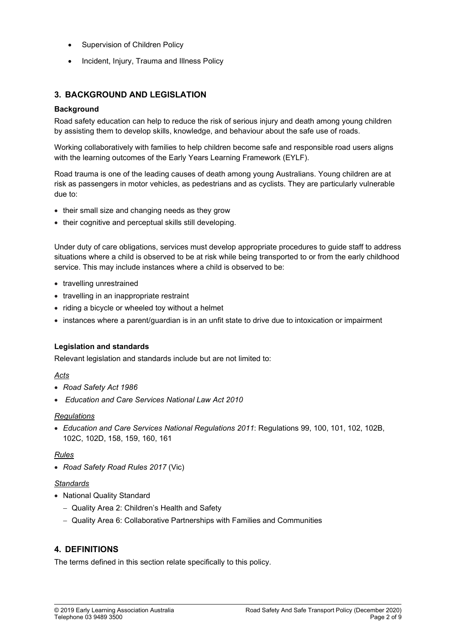- Supervision of Children Policy
- Incident, Injury, Trauma and Illness Policy

## 3. BACKGROUND AND LEGISLATION

### **Background**

Road safety education can help to reduce the risk of serious injury and death among young children by assisting them to develop skills, knowledge, and behaviour about the safe use of roads.

Working collaboratively with families to help children become safe and responsible road users aligns with the learning outcomes of the Early Years Learning Framework (EYLF).

Road trauma is one of the leading causes of death among young Australians. Young children are at risk as passengers in motor vehicles, as pedestrians and as cyclists. They are particularly vulnerable due to:

- their small size and changing needs as they grow
- their cognitive and perceptual skills still developing.

Under duty of care obligations, services must develop appropriate procedures to guide staff to address situations where a child is observed to be at risk while being transported to or from the early childhood service. This may include instances where a child is observed to be:

- travelling unrestrained
- travelling in an inappropriate restraint
- riding a bicycle or wheeled toy without a helmet
- instances where a parent/guardian is in an unfit state to drive due to intoxication or impairment

### Legislation and standards

Relevant legislation and standards include but are not limited to:

### Acts

- Road Safety Act 1986
- Education and Care Services National Law Act 2010

### **Regulations**

 Education and Care Services National Regulations 2011: Regulations 99, 100, 101, 102, 102B, 102C, 102D, 158, 159, 160, 161

### Rules

• Road Safety Road Rules 2017 (Vic)

#### **Standards**

- National Quality Standard
	- Quality Area 2: Children's Health and Safety
	- Quality Area 6: Collaborative Partnerships with Families and Communities

## 4. DEFINITIONS

The terms defined in this section relate specifically to this policy.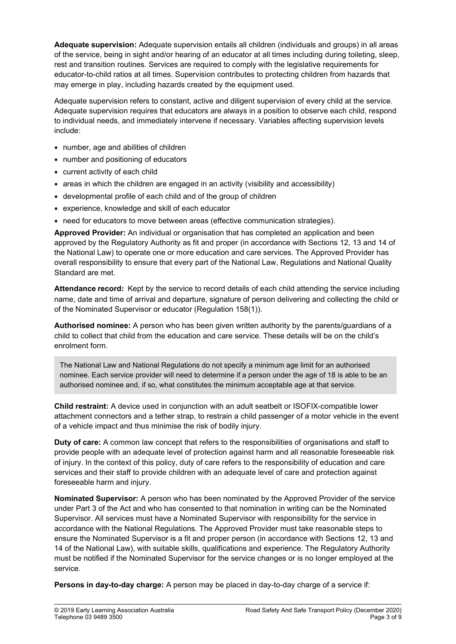Adequate supervision: Adequate supervision entails all children (individuals and groups) in all areas of the service, being in sight and/or hearing of an educator at all times including during toileting, sleep, rest and transition routines. Services are required to comply with the legislative requirements for educator-to-child ratios at all times. Supervision contributes to protecting children from hazards that may emerge in play, including hazards created by the equipment used.

Adequate supervision refers to constant, active and diligent supervision of every child at the service. Adequate supervision requires that educators are always in a position to observe each child, respond to individual needs, and immediately intervene if necessary. Variables affecting supervision levels include:

- number, age and abilities of children
- number and positioning of educators
- current activity of each child
- areas in which the children are engaged in an activity (visibility and accessibility)
- developmental profile of each child and of the group of children
- experience, knowledge and skill of each educator
- need for educators to move between areas (effective communication strategies).

Approved Provider: An individual or organisation that has completed an application and been approved by the Regulatory Authority as fit and proper (in accordance with Sections 12, 13 and 14 of the National Law) to operate one or more education and care services. The Approved Provider has overall responsibility to ensure that every part of the National Law, Regulations and National Quality Standard are met.

Attendance record: Kept by the service to record details of each child attending the service including name, date and time of arrival and departure, signature of person delivering and collecting the child or of the Nominated Supervisor or educator (Regulation 158(1)).

Authorised nominee: A person who has been given written authority by the parents/guardians of a child to collect that child from the education and care service. These details will be on the child's enrolment form.

The National Law and National Regulations do not specify a minimum age limit for an authorised nominee. Each service provider will need to determine if a person under the age of 18 is able to be an authorised nominee and, if so, what constitutes the minimum acceptable age at that service.

Child restraint: A device used in conjunction with an adult seatbelt or ISOFIX-compatible lower attachment connectors and a tether strap, to restrain a child passenger of a motor vehicle in the event of a vehicle impact and thus minimise the risk of bodily injury.

Duty of care: A common law concept that refers to the responsibilities of organisations and staff to provide people with an adequate level of protection against harm and all reasonable foreseeable risk of injury. In the context of this policy, duty of care refers to the responsibility of education and care services and their staff to provide children with an adequate level of care and protection against foreseeable harm and injury.

Nominated Supervisor: A person who has been nominated by the Approved Provider of the service under Part 3 of the Act and who has consented to that nomination in writing can be the Nominated Supervisor. All services must have a Nominated Supervisor with responsibility for the service in accordance with the National Regulations. The Approved Provider must take reasonable steps to ensure the Nominated Supervisor is a fit and proper person (in accordance with Sections 12, 13 and 14 of the National Law), with suitable skills, qualifications and experience. The Regulatory Authority must be notified if the Nominated Supervisor for the service changes or is no longer employed at the service.

Persons in day-to-day charge: A person may be placed in day-to-day charge of a service if: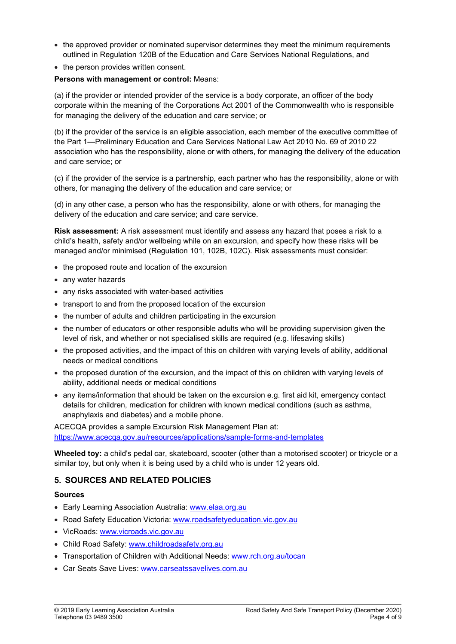- the approved provider or nominated supervisor determines they meet the minimum requirements outlined in Regulation 120B of the Education and Care Services National Regulations, and
- the person provides written consent.

#### Persons with management or control: Means:

(a) if the provider or intended provider of the service is a body corporate, an officer of the body corporate within the meaning of the Corporations Act 2001 of the Commonwealth who is responsible for managing the delivery of the education and care service; or

(b) if the provider of the service is an eligible association, each member of the executive committee of the Part 1—Preliminary Education and Care Services National Law Act 2010 No. 69 of 2010 22 association who has the responsibility, alone or with others, for managing the delivery of the education and care service; or

(c) if the provider of the service is a partnership, each partner who has the responsibility, alone or with others, for managing the delivery of the education and care service; or

(d) in any other case, a person who has the responsibility, alone or with others, for managing the delivery of the education and care service; and care service.

Risk assessment: A risk assessment must identify and assess any hazard that poses a risk to a child's health, safety and/or wellbeing while on an excursion, and specify how these risks will be managed and/or minimised (Regulation 101, 102B, 102C). Risk assessments must consider:

- the proposed route and location of the excursion
- any water hazards
- any risks associated with water-based activities
- transport to and from the proposed location of the excursion
- the number of adults and children participating in the excursion
- the number of educators or other responsible adults who will be providing supervision given the level of risk, and whether or not specialised skills are required (e.g. lifesaving skills)
- the proposed activities, and the impact of this on children with varying levels of ability, additional needs or medical conditions
- the proposed duration of the excursion, and the impact of this on children with varying levels of ability, additional needs or medical conditions
- any items/information that should be taken on the excursion e.g. first aid kit, emergency contact details for children, medication for children with known medical conditions (such as asthma, anaphylaxis and diabetes) and a mobile phone.

ACECQA provides a sample Excursion Risk Management Plan at: https://www.acecqa.gov.au/resources/applications/sample-forms-and-templates

Wheeled toy: a child's pedal car, skateboard, scooter (other than a motorised scooter) or tricycle or a similar toy, but only when it is being used by a child who is under 12 years old.

## 5. SOURCES AND RELATED POLICIES

#### Sources

- Early Learning Association Australia: www.elaa.org.au
- Road Safety Education Victoria: www.roadsafetyeducation.vic.gov.au
- VicRoads: www.vicroads.vic.gov.au
- Child Road Safety: www.childroadsafety.org.au
- Transportation of Children with Additional Needs: www.rch.org.au/tocan
- Car Seats Save Lives: www.carseatssavelives.com.au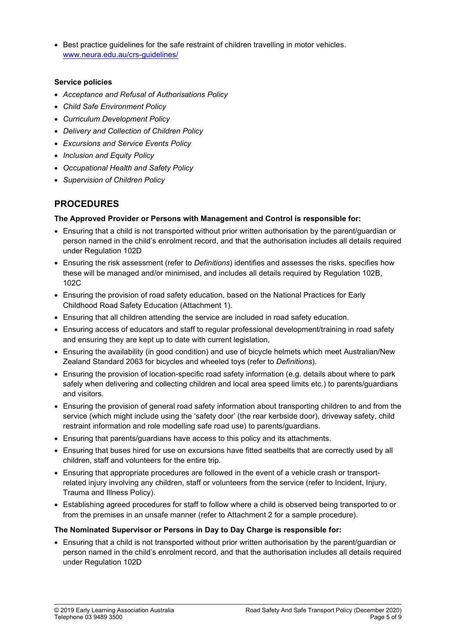**Best practice guidelines for the safe restraint of children travelling in motor vehicles.** www.neura.edu.au/crs-guidelines/

### Service policies

- Acceptance and Refusal of Authorisations Policy
- Child Safe Environment Policy
- Curriculum Development Policy
- Delivery and Collection of Children Policy
- Excursions and Service Events Policy
- Inclusion and Equity Policy
- Occupational Health and Safety Policy
- Supervision of Children Policy

# PROCEDURES

### The Approved Provider or Persons with Management and Control is responsible for:

- Ensuring that a child is not transported without prior written authorisation by the parent/guardian or person named in the child's enrolment record, and that the authorisation includes all details required under Regulation 102D
- Ensuring the risk assessment (refer to Definitions) identifies and assesses the risks, specifies how these will be managed and/or minimised, and includes all details required by Regulation 102B, 102C
- Ensuring the provision of road safety education, based on the National Practices for Early Childhood Road Safety Education (Attachment 1).
- Ensuring that all children attending the service are included in road safety education.
- Ensuring access of educators and staff to regular professional development/training in road safety and ensuring they are kept up to date with current legislation,
- Ensuring the availability (in good condition) and use of bicycle helmets which meet Australian/New Zealand Standard 2063 for bicycles and wheeled toys (refer to Definitions).
- Ensuring the provision of location-specific road safety information (e.g. details about where to park safely when delivering and collecting children and local area speed limits etc.) to parents/guardians and visitors.
- Ensuring the provision of general road safety information about transporting children to and from the service (which might include using the 'safety door' (the rear kerbside door), driveway safety, child restraint information and role modelling safe road use) to parents/guardians.
- Ensuring that parents/guardians have access to this policy and its attachments.
- Ensuring that buses hired for use on excursions have fitted seatbelts that are correctly used by all children, staff and volunteers for the entire trip.
- Ensuring that appropriate procedures are followed in the event of a vehicle crash or transportrelated injury involving any children, staff or volunteers from the service (refer to Incident, Injury, Trauma and Illness Policy).
- Establishing agreed procedures for staff to follow where a child is observed being transported to or from the premises in an unsafe manner (refer to Attachment 2 for a sample procedure).

### The Nominated Supervisor or Persons in Day to Day Charge is responsible for:

 Ensuring that a child is not transported without prior written authorisation by the parent/guardian or person named in the child's enrolment record, and that the authorisation includes all details required under Regulation 102D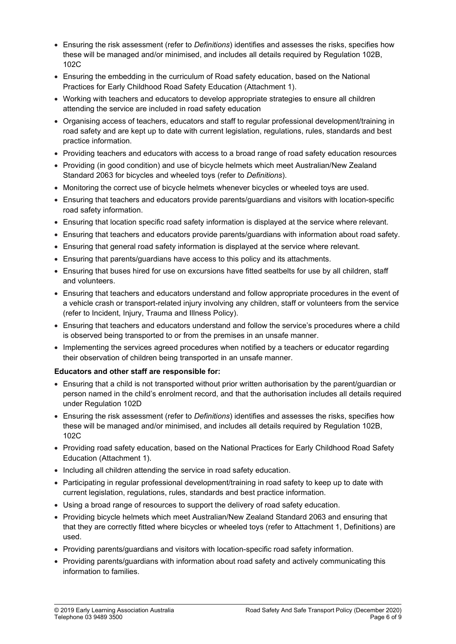- **Ensuring the risk assessment (refer to Definitions) identifies and assesses the risks, specifies how** these will be managed and/or minimised, and includes all details required by Regulation 102B, 102C
- Ensuring the embedding in the curriculum of Road safety education, based on the National Practices for Early Childhood Road Safety Education (Attachment 1).
- Working with teachers and educators to develop appropriate strategies to ensure all children attending the service are included in road safety education
- Organising access of teachers, educators and staff to regular professional development/training in road safety and are kept up to date with current legislation, regulations, rules, standards and best practice information.
- Providing teachers and educators with access to a broad range of road safety education resources
- Providing (in good condition) and use of bicycle helmets which meet Australian/New Zealand Standard 2063 for bicycles and wheeled toys (refer to Definitions).
- Monitoring the correct use of bicycle helmets whenever bicycles or wheeled toys are used.
- Ensuring that teachers and educators provide parents/guardians and visitors with location-specific road safety information.
- Ensuring that location specific road safety information is displayed at the service where relevant.
- Ensuring that teachers and educators provide parents/guardians with information about road safety.
- Ensuring that general road safety information is displayed at the service where relevant.
- Ensuring that parents/guardians have access to this policy and its attachments.
- Ensuring that buses hired for use on excursions have fitted seatbelts for use by all children, staff and volunteers.
- Ensuring that teachers and educators understand and follow appropriate procedures in the event of a vehicle crash or transport-related injury involving any children, staff or volunteers from the service (refer to Incident, Injury, Trauma and Illness Policy).
- Ensuring that teachers and educators understand and follow the service's procedures where a child is observed being transported to or from the premises in an unsafe manner.
- Implementing the services agreed procedures when notified by a teachers or educator regarding their observation of children being transported in an unsafe manner.

### Educators and other staff are responsible for:

- Ensuring that a child is not transported without prior written authorisation by the parent/guardian or person named in the child's enrolment record, and that the authorisation includes all details required under Regulation 102D
- Ensuring the risk assessment (refer to *Definitions*) identifies and assesses the risks, specifies how these will be managed and/or minimised, and includes all details required by Regulation 102B, 102C
- Providing road safety education, based on the National Practices for Early Childhood Road Safety Education (Attachment 1).
- Including all children attending the service in road safety education.
- Participating in regular professional development/training in road safety to keep up to date with current legislation, regulations, rules, standards and best practice information.
- Using a broad range of resources to support the delivery of road safety education.
- Providing bicycle helmets which meet Australian/New Zealand Standard 2063 and ensuring that that they are correctly fitted where bicycles or wheeled toys (refer to Attachment 1, Definitions) are used.
- Providing parents/guardians and visitors with location-specific road safety information.
- Providing parents/guardians with information about road safety and actively communicating this information to families.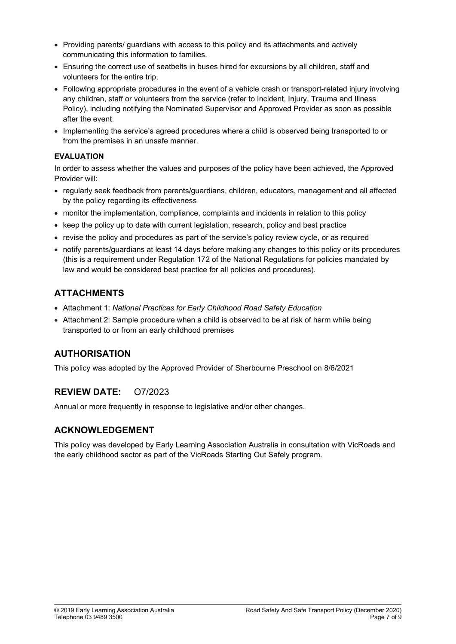- Providing parents/ guardians with access to this policy and its attachments and actively communicating this information to families.
- Ensuring the correct use of seatbelts in buses hired for excursions by all children, staff and volunteers for the entire trip.
- Following appropriate procedures in the event of a vehicle crash or transport-related injury involving any children, staff or volunteers from the service (refer to Incident, Injury, Trauma and Illness Policy), including notifying the Nominated Supervisor and Approved Provider as soon as possible after the event.
- Implementing the service's agreed procedures where a child is observed being transported to or from the premises in an unsafe manner.

### EVALUATION

In order to assess whether the values and purposes of the policy have been achieved, the Approved Provider will:

- regularly seek feedback from parents/guardians, children, educators, management and all affected by the policy regarding its effectiveness
- monitor the implementation, compliance, complaints and incidents in relation to this policy
- keep the policy up to date with current legislation, research, policy and best practice
- revise the policy and procedures as part of the service's policy review cycle, or as required
- notify parents/guardians at least 14 days before making any changes to this policy or its procedures (this is a requirement under Regulation 172 of the National Regulations for policies mandated by law and would be considered best practice for all policies and procedures).

## ATTACHMENTS

- Attachment 1: National Practices for Early Childhood Road Safety Education
- Attachment 2: Sample procedure when a child is observed to be at risk of harm while being transported to or from an early childhood premises

## AUTHORISATION

This policy was adopted by the Approved Provider of Sherbourne Preschool on 8/6/2021

## REVIEW DATE: O7/2023

Annual or more frequently in response to legislative and/or other changes.

## ACKNOWLEDGEMENT

This policy was developed by Early Learning Association Australia in consultation with VicRoads and the early childhood sector as part of the VicRoads Starting Out Safely program.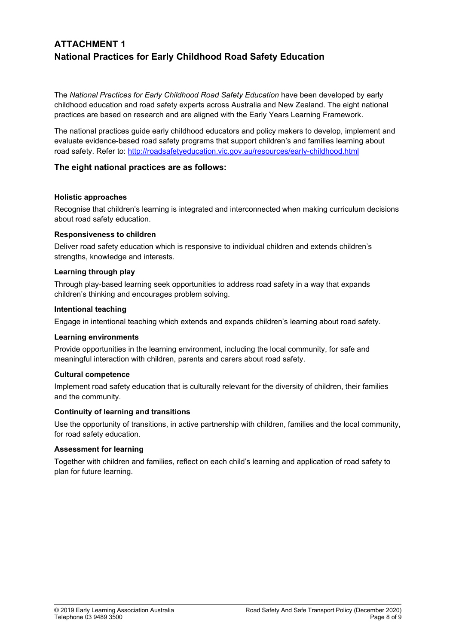# ATTACHMENT 1 National Practices for Early Childhood Road Safety Education

The National Practices for Early Childhood Road Safety Education have been developed by early childhood education and road safety experts across Australia and New Zealand. The eight national practices are based on research and are aligned with the Early Years Learning Framework.

The national practices guide early childhood educators and policy makers to develop, implement and evaluate evidence-based road safety programs that support children's and families learning about road safety. Refer to: http://roadsafetyeducation.vic.gov.au/resources/early-childhood.html

### The eight national practices are as follows:

#### Holistic approaches

Recognise that children's learning is integrated and interconnected when making curriculum decisions about road safety education.

#### Responsiveness to children

Deliver road safety education which is responsive to individual children and extends children's strengths, knowledge and interests.

#### Learning through play

Through play-based learning seek opportunities to address road safety in a way that expands children's thinking and encourages problem solving.

#### Intentional teaching

Engage in intentional teaching which extends and expands children's learning about road safety.

#### Learning environments

Provide opportunities in the learning environment, including the local community, for safe and meaningful interaction with children, parents and carers about road safety.

#### Cultural competence

Implement road safety education that is culturally relevant for the diversity of children, their families and the community.

#### Continuity of learning and transitions

Use the opportunity of transitions, in active partnership with children, families and the local community, for road safety education.

#### Assessment for learning

Together with children and families, reflect on each child's learning and application of road safety to plan for future learning.